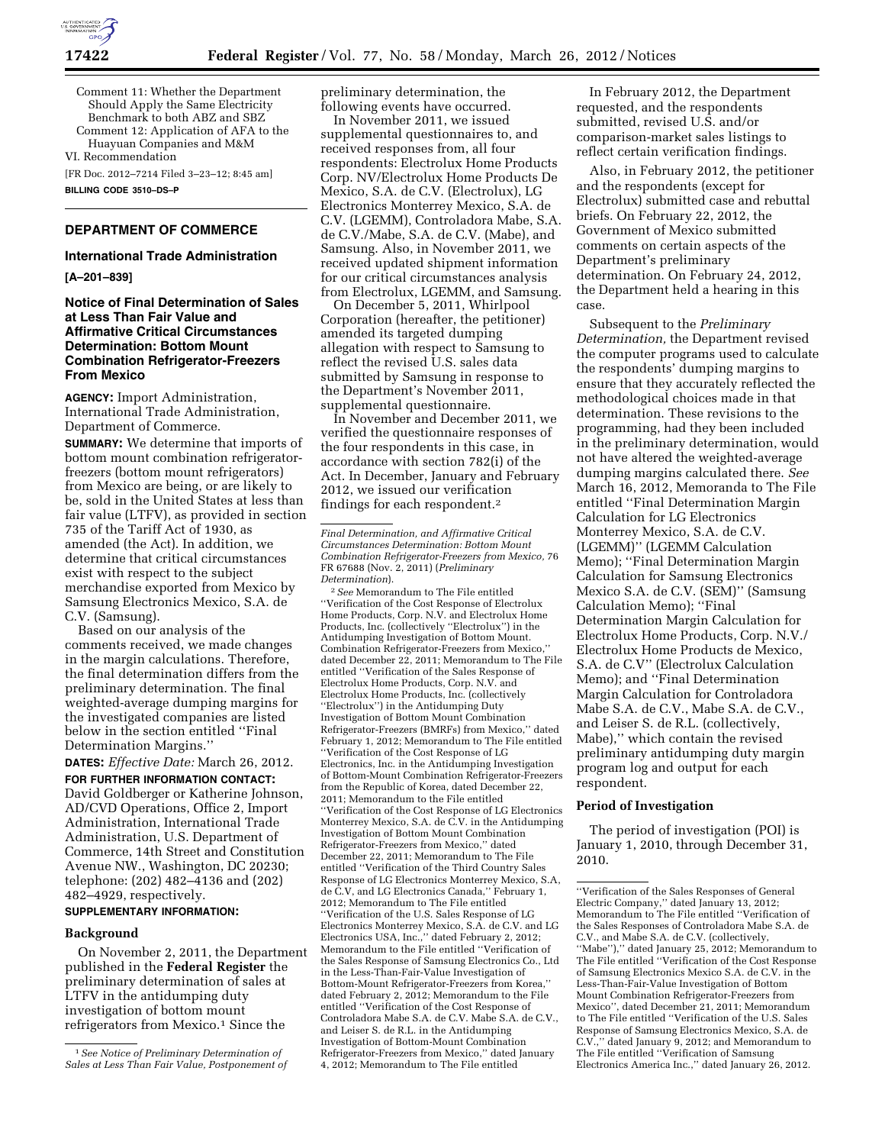

Comment 11: Whether the Department Should Apply the Same Electricity Benchmark to both ABZ and SBZ Comment 12: Application of AFA to the

Huayuan Companies and M&M

VI. Recommendation

[FR Doc. 2012–7214 Filed 3–23–12; 8:45 am] **BILLING CODE 3510–DS–P** 

# **DEPARTMENT OF COMMERCE**

### **International Trade Administration**

**[A–201–839]** 

### **Notice of Final Determination of Sales at Less Than Fair Value and Affirmative Critical Circumstances Determination: Bottom Mount Combination Refrigerator-Freezers From Mexico**

**AGENCY:** Import Administration, International Trade Administration, Department of Commerce.

**SUMMARY:** We determine that imports of bottom mount combination refrigeratorfreezers (bottom mount refrigerators) from Mexico are being, or are likely to be, sold in the United States at less than fair value (LTFV), as provided in section 735 of the Tariff Act of 1930, as amended (the Act). In addition, we determine that critical circumstances exist with respect to the subject merchandise exported from Mexico by Samsung Electronics Mexico, S.A. de C.V. (Samsung).

Based on our analysis of the comments received, we made changes in the margin calculations. Therefore, the final determination differs from the preliminary determination. The final weighted-average dumping margins for the investigated companies are listed below in the section entitled ''Final Determination Margins.''

**DATES:** *Effective Date:* March 26, 2012.

**FOR FURTHER INFORMATION CONTACT:**  David Goldberger or Katherine Johnson, AD/CVD Operations, Office 2, Import Administration, International Trade Administration, U.S. Department of Commerce, 14th Street and Constitution Avenue NW., Washington, DC 20230; telephone: (202) 482–4136 and (202) 482–4929, respectively.

### **SUPPLEMENTARY INFORMATION:**

#### **Background**

On November 2, 2011, the Department published in the **Federal Register** the preliminary determination of sales at LTFV in the antidumping duty investigation of bottom mount refrigerators from Mexico.<sup>1</sup> Since the

preliminary determination, the following events have occurred.

In November 2011, we issued supplemental questionnaires to, and received responses from, all four respondents: Electrolux Home Products Corp. NV/Electrolux Home Products De Mexico, S.A. de C.V. (Electrolux), LG Electronics Monterrey Mexico, S.A. de C.V. (LGEMM), Controladora Mabe, S.A. de C.V./Mabe, S.A. de C.V. (Mabe), and Samsung. Also, in November 2011, we received updated shipment information for our critical circumstances analysis from Electrolux, LGEMM, and Samsung.

On December 5, 2011, Whirlpool Corporation (hereafter, the petitioner) amended its targeted dumping allegation with respect to Samsung to reflect the revised U.S. sales data submitted by Samsung in response to the Department's November 2011, supplemental questionnaire.

In November and December 2011, we verified the questionnaire responses of the four respondents in this case, in accordance with section 782(i) of the Act. In December, January and February 2012, we issued our verification findings for each respondent.2

2*See* Memorandum to The File entitled ''Verification of the Cost Response of Electrolux Home Products, Corp. N.V. and Electrolux Home Products, Inc. (collectively ''Electrolux'') in the Antidumping Investigation of Bottom Mount. Combination Refrigerator-Freezers from Mexico,'' dated December 22, 2011; Memorandum to The File entitled ''Verification of the Sales Response of Electrolux Home Products, Corp. N.V. and Electrolux Home Products, Inc. (collectively ''Electrolux'') in the Antidumping Duty Investigation of Bottom Mount Combination Refrigerator-Freezers (BMRFs) from Mexico,'' dated February 1, 2012; Memorandum to The File entitled ''Verification of the Cost Response of LG Electronics, Inc. in the Antidumping Investigation of Bottom-Mount Combination Refrigerator-Freezers from the Republic of Korea, dated December 22, 2011; Memorandum to the File entitled ''Verification of the Cost Response of LG Electronics Monterrey Mexico, S.A. de C.V. in the Antidumping Investigation of Bottom Mount Combination Refrigerator-Freezers from Mexico,'' dated December 22, 2011; Memorandum to The File entitled ''Verification of the Third Country Sales Response of LG Electronics Monterrey Mexico, S.A, de C.V, and LG Electronics Canada,'' February 1, 2012; Memorandum to The File entitled ''Verification of the U.S. Sales Response of LG Electronics Monterrey Mexico, S.A. de C.V. and LG Electronics USA, Inc.,'' dated February 2, 2012; Memorandum to the File entitled ''Verification of the Sales Response of Samsung Electronics Co., Ltd in the Less-Than-Fair-Value Investigation of Bottom-Mount Refrigerator-Freezers from Korea,'' dated February 2, 2012; Memorandum to the File entitled ''Verification of the Cost Response of Controladora Mabe S.A. de C.V. Mabe S.A. de C.V., and Leiser S. de R.L. in the Antidumping Investigation of Bottom-Mount Combination Refrigerator-Freezers from Mexico,'' dated January 4, 2012; Memorandum to The File entitled

In February 2012, the Department requested, and the respondents submitted, revised U.S. and/or comparison-market sales listings to reflect certain verification findings.

Also, in February 2012, the petitioner and the respondents (except for Electrolux) submitted case and rebuttal briefs. On February 22, 2012, the Government of Mexico submitted comments on certain aspects of the Department's preliminary determination. On February 24, 2012, the Department held a hearing in this case.

Subsequent to the *Preliminary Determination,* the Department revised the computer programs used to calculate the respondents' dumping margins to ensure that they accurately reflected the methodological choices made in that determination. These revisions to the programming, had they been included in the preliminary determination, would not have altered the weighted-average dumping margins calculated there. *See*  March 16, 2012, Memoranda to The File entitled ''Final Determination Margin Calculation for LG Electronics Monterrey Mexico, S.A. de C.V. (LGEMM)'' (LGEMM Calculation Memo); ''Final Determination Margin Calculation for Samsung Electronics Mexico S.A. de C.V. (SEM)'' (Samsung Calculation Memo); ''Final Determination Margin Calculation for Electrolux Home Products, Corp. N.V./ Electrolux Home Products de Mexico, S.A. de C.V'' (Electrolux Calculation Memo); and ''Final Determination Margin Calculation for Controladora Mabe S.A. de C.V., Mabe S.A. de C.V., and Leiser S. de R.L. (collectively, Mabe),'' which contain the revised preliminary antidumping duty margin program log and output for each respondent.

## **Period of Investigation**

The period of investigation (POI) is January 1, 2010, through December 31, 2010.

<sup>1</sup>*See Notice of Preliminary Determination of Sales at Less Than Fair Value, Postponement of* 

*Final Determination, and Affirmative Critical Circumstances Determination: Bottom Mount Combination Refrigerator-Freezers from Mexico,* 76 FR 67688 (Nov. 2, 2011) (*Preliminary Determination*).

<sup>&#</sup>x27;'Verification of the Sales Responses of General Electric Company,'' dated January 13, 2012; Memorandum to The File entitled ''Verification of the Sales Responses of Controladora Mabe S.A. de C.V., and Mabe S.A. de C.V. (collectively, ''Mabe''),'' dated January 25, 2012; Memorandum to The File entitled ''Verification of the Cost Response of Samsung Electronics Mexico S.A. de C.V. in the Less-Than-Fair-Value Investigation of Bottom Mount Combination Refrigerator-Freezers from Mexico'', dated December 21, 2011; Memorandum to The File entitled ''Verification of the U.S. Sales Response of Samsung Electronics Mexico, S.A. de C.V.,'' dated January 9, 2012; and Memorandum to The File entitled ''Verification of Samsung Electronics America Inc.,'' dated January 26, 2012.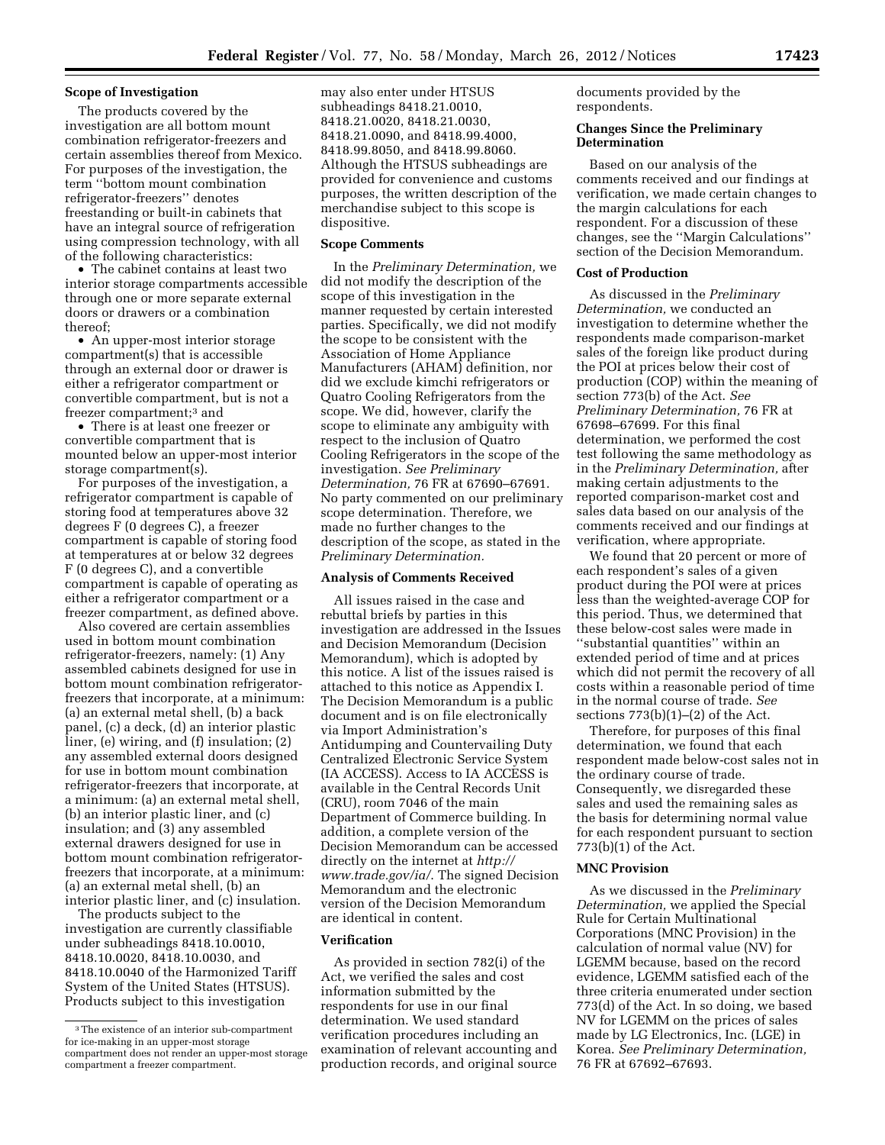### **Scope of Investigation**

The products covered by the investigation are all bottom mount combination refrigerator-freezers and certain assemblies thereof from Mexico. For purposes of the investigation, the term ''bottom mount combination refrigerator-freezers'' denotes freestanding or built-in cabinets that have an integral source of refrigeration using compression technology, with all of the following characteristics:

• The cabinet contains at least two interior storage compartments accessible through one or more separate external doors or drawers or a combination thereof;

• An upper-most interior storage compartment(s) that is accessible through an external door or drawer is either a refrigerator compartment or convertible compartment, but is not a freezer compartment;<sup>3</sup> and

• There is at least one freezer or convertible compartment that is mounted below an upper-most interior storage compartment(s).

For purposes of the investigation, a refrigerator compartment is capable of storing food at temperatures above 32 degrees F (0 degrees C), a freezer compartment is capable of storing food at temperatures at or below 32 degrees F (0 degrees C), and a convertible compartment is capable of operating as either a refrigerator compartment or a freezer compartment, as defined above.

Also covered are certain assemblies used in bottom mount combination refrigerator-freezers, namely: (1) Any assembled cabinets designed for use in bottom mount combination refrigeratorfreezers that incorporate, at a minimum: (a) an external metal shell, (b) a back panel, (c) a deck, (d) an interior plastic liner, (e) wiring, and (f) insulation; (2) any assembled external doors designed for use in bottom mount combination refrigerator-freezers that incorporate, at a minimum: (a) an external metal shell, (b) an interior plastic liner, and (c) insulation; and (3) any assembled external drawers designed for use in bottom mount combination refrigeratorfreezers that incorporate, at a minimum: (a) an external metal shell, (b) an interior plastic liner, and (c) insulation.

The products subject to the investigation are currently classifiable under subheadings 8418.10.0010, 8418.10.0020, 8418.10.0030, and 8418.10.0040 of the Harmonized Tariff System of the United States (HTSUS). Products subject to this investigation

may also enter under HTSUS subheadings 8418.21.0010, 8418.21.0020, 8418.21.0030, 8418.21.0090, and 8418.99.4000, 8418.99.8050, and 8418.99.8060. Although the HTSUS subheadings are provided for convenience and customs purposes, the written description of the merchandise subject to this scope is dispositive.

### **Scope Comments**

In the *Preliminary Determination,* we did not modify the description of the scope of this investigation in the manner requested by certain interested parties. Specifically, we did not modify the scope to be consistent with the Association of Home Appliance Manufacturers (AHAM) definition, nor did we exclude kimchi refrigerators or Quatro Cooling Refrigerators from the scope. We did, however, clarify the scope to eliminate any ambiguity with respect to the inclusion of Quatro Cooling Refrigerators in the scope of the investigation. *See Preliminary Determination,* 76 FR at 67690–67691. No party commented on our preliminary scope determination. Therefore, we made no further changes to the description of the scope, as stated in the *Preliminary Determination.* 

### **Analysis of Comments Received**

All issues raised in the case and rebuttal briefs by parties in this investigation are addressed in the Issues and Decision Memorandum (Decision Memorandum), which is adopted by this notice. A list of the issues raised is attached to this notice as Appendix I. The Decision Memorandum is a public document and is on file electronically via Import Administration's Antidumping and Countervailing Duty Centralized Electronic Service System (IA ACCESS). Access to IA ACCESS is available in the Central Records Unit (CRU), room 7046 of the main Department of Commerce building. In addition, a complete version of the Decision Memorandum can be accessed directly on the internet at *[http://](http://www.trade.gov/ia/) [www.trade.gov/ia/](http://www.trade.gov/ia/)*. The signed Decision Memorandum and the electronic version of the Decision Memorandum are identical in content.

### **Verification**

As provided in section 782(i) of the Act, we verified the sales and cost information submitted by the respondents for use in our final determination. We used standard verification procedures including an examination of relevant accounting and production records, and original source

documents provided by the respondents.

### **Changes Since the Preliminary Determination**

Based on our analysis of the comments received and our findings at verification, we made certain changes to the margin calculations for each respondent. For a discussion of these changes, see the ''Margin Calculations'' section of the Decision Memorandum.

#### **Cost of Production**

As discussed in the *Preliminary Determination,* we conducted an investigation to determine whether the respondents made comparison-market sales of the foreign like product during the POI at prices below their cost of production (COP) within the meaning of section 773(b) of the Act. *See Preliminary Determination,* 76 FR at 67698–67699. For this final determination, we performed the cost test following the same methodology as in the *Preliminary Determination,* after making certain adjustments to the reported comparison-market cost and sales data based on our analysis of the comments received and our findings at verification, where appropriate.

We found that 20 percent or more of each respondent's sales of a given product during the POI were at prices less than the weighted-average COP for this period. Thus, we determined that these below-cost sales were made in ''substantial quantities'' within an extended period of time and at prices which did not permit the recovery of all costs within a reasonable period of time in the normal course of trade. *See*  sections  $773(b)(1)–(2)$  of the Act.

Therefore, for purposes of this final determination, we found that each respondent made below-cost sales not in the ordinary course of trade. Consequently, we disregarded these sales and used the remaining sales as the basis for determining normal value for each respondent pursuant to section 773(b)(1) of the Act.

## **MNC Provision**

As we discussed in the *Preliminary Determination,* we applied the Special Rule for Certain Multinational Corporations (MNC Provision) in the calculation of normal value (NV) for LGEMM because, based on the record evidence, LGEMM satisfied each of the three criteria enumerated under section 773(d) of the Act. In so doing, we based NV for LGEMM on the prices of sales made by LG Electronics, Inc. (LGE) in Korea. *See Preliminary Determination,*  76 FR at 67692–67693.

<sup>3</sup>The existence of an interior sub-compartment for ice-making in an upper-most storage compartment does not render an upper-most storage compartment a freezer compartment.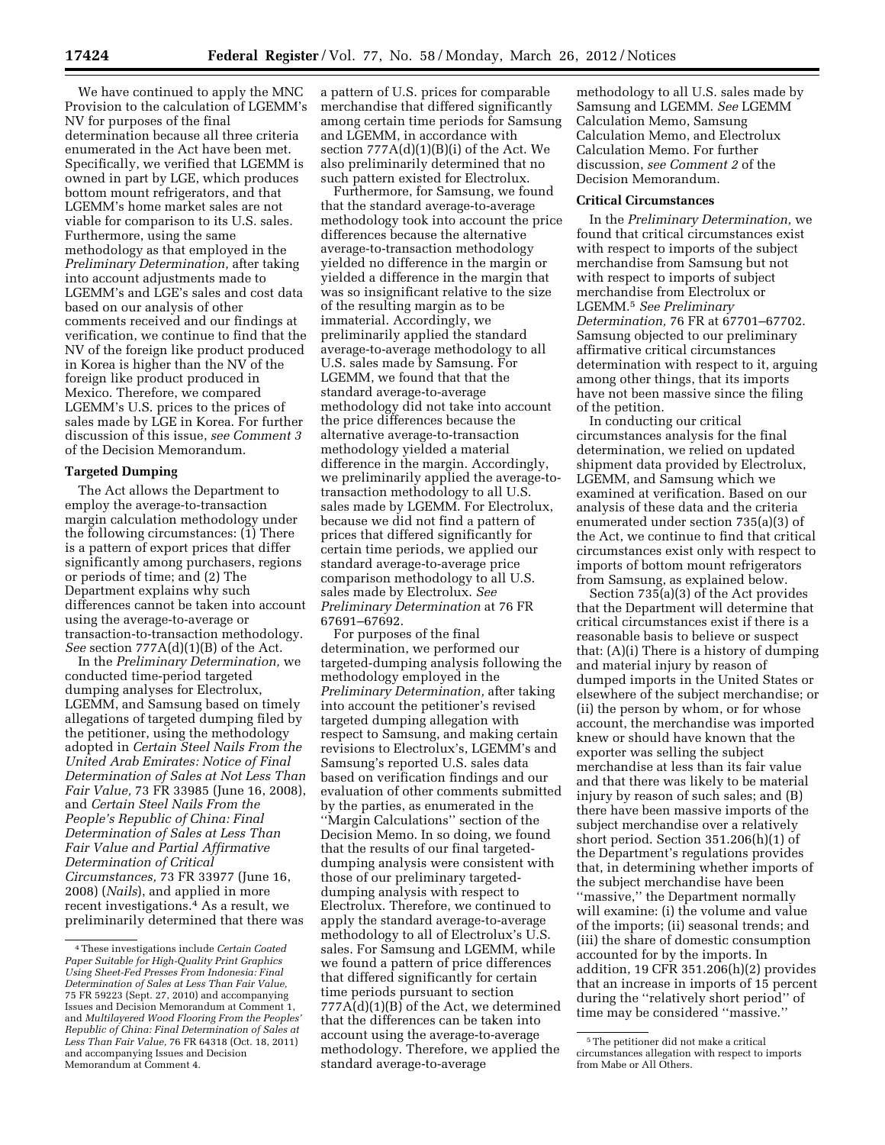We have continued to apply the MNC Provision to the calculation of LGEMM's NV for purposes of the final determination because all three criteria enumerated in the Act have been met. Specifically, we verified that LGEMM is owned in part by LGE, which produces bottom mount refrigerators, and that LGEMM's home market sales are not viable for comparison to its U.S. sales. Furthermore, using the same methodology as that employed in the *Preliminary Determination,* after taking into account adjustments made to LGEMM's and LGE's sales and cost data based on our analysis of other comments received and our findings at verification, we continue to find that the NV of the foreign like product produced in Korea is higher than the NV of the foreign like product produced in Mexico. Therefore, we compared LGEMM's U.S. prices to the prices of sales made by LGE in Korea. For further discussion of this issue, *see Comment 3*  of the Decision Memorandum.

### **Targeted Dumping**

The Act allows the Department to employ the average-to-transaction margin calculation methodology under the following circumstances: (1) There is a pattern of export prices that differ significantly among purchasers, regions or periods of time; and (2) The Department explains why such differences cannot be taken into account using the average-to-average or transaction-to-transaction methodology. *See* section 777A(d)(1)(B) of the Act.

In the *Preliminary Determination,* we conducted time-period targeted dumping analyses for Electrolux, LGEMM, and Samsung based on timely allegations of targeted dumping filed by the petitioner, using the methodology adopted in *Certain Steel Nails From the United Arab Emirates: Notice of Final Determination of Sales at Not Less Than Fair Value,* 73 FR 33985 (June 16, 2008), and *Certain Steel Nails From the People's Republic of China: Final Determination of Sales at Less Than Fair Value and Partial Affirmative Determination of Critical Circumstances,* 73 FR 33977 (June 16, 2008) (*Nails*), and applied in more recent investigations.4 As a result, we preliminarily determined that there was

a pattern of U.S. prices for comparable merchandise that differed significantly among certain time periods for Samsung and LGEMM, in accordance with section 777A(d)(1)(B)(i) of the Act. We also preliminarily determined that no such pattern existed for Electrolux.

Furthermore, for Samsung, we found that the standard average-to-average methodology took into account the price differences because the alternative average-to-transaction methodology yielded no difference in the margin or yielded a difference in the margin that was so insignificant relative to the size of the resulting margin as to be immaterial. Accordingly, we preliminarily applied the standard average-to-average methodology to all U.S. sales made by Samsung. For LGEMM, we found that that the standard average-to-average methodology did not take into account the price differences because the alternative average-to-transaction methodology yielded a material difference in the margin. Accordingly, we preliminarily applied the average-totransaction methodology to all U.S. sales made by LGEMM. For Electrolux, because we did not find a pattern of prices that differed significantly for certain time periods, we applied our standard average-to-average price comparison methodology to all U.S. sales made by Electrolux. *See Preliminary Determination* at 76 FR 67691–67692.

For purposes of the final determination, we performed our targeted-dumping analysis following the methodology employed in the *Preliminary Determination,* after taking into account the petitioner's revised targeted dumping allegation with respect to Samsung, and making certain revisions to Electrolux's, LGEMM's and Samsung's reported U.S. sales data based on verification findings and our evaluation of other comments submitted by the parties, as enumerated in the ''Margin Calculations'' section of the Decision Memo. In so doing, we found that the results of our final targeteddumping analysis were consistent with those of our preliminary targeteddumping analysis with respect to Electrolux. Therefore, we continued to apply the standard average-to-average methodology to all of Electrolux's U.S. sales. For Samsung and LGEMM, while we found a pattern of price differences that differed significantly for certain time periods pursuant to section 777A(d)(1)(B) of the Act, we determined that the differences can be taken into account using the average-to-average methodology. Therefore, we applied the standard average-to-average

methodology to all U.S. sales made by Samsung and LGEMM. *See* LGEMM Calculation Memo, Samsung Calculation Memo, and Electrolux Calculation Memo. For further discussion, *see Comment 2* of the Decision Memorandum.

#### **Critical Circumstances**

In the *Preliminary Determination,* we found that critical circumstances exist with respect to imports of the subject merchandise from Samsung but not with respect to imports of subject merchandise from Electrolux or LGEMM.5 *See Preliminary Determination,* 76 FR at 67701–67702. Samsung objected to our preliminary affirmative critical circumstances determination with respect to it, arguing among other things, that its imports have not been massive since the filing of the petition.

In conducting our critical circumstances analysis for the final determination, we relied on updated shipment data provided by Electrolux, LGEMM, and Samsung which we examined at verification. Based on our analysis of these data and the criteria enumerated under section 735(a)(3) of the Act, we continue to find that critical circumstances exist only with respect to imports of bottom mount refrigerators from Samsung, as explained below.

Section 735(a)(3) of the Act provides that the Department will determine that critical circumstances exist if there is a reasonable basis to believe or suspect that: (A)(i) There is a history of dumping and material injury by reason of dumped imports in the United States or elsewhere of the subject merchandise; or (ii) the person by whom, or for whose account, the merchandise was imported knew or should have known that the exporter was selling the subject merchandise at less than its fair value and that there was likely to be material injury by reason of such sales; and (B) there have been massive imports of the subject merchandise over a relatively short period. Section 351.206(h)(1) of the Department's regulations provides that, in determining whether imports of the subject merchandise have been ''massive,'' the Department normally will examine: (i) the volume and value of the imports; (ii) seasonal trends; and (iii) the share of domestic consumption accounted for by the imports. In addition, 19 CFR 351.206(h)(2) provides that an increase in imports of 15 percent during the ''relatively short period'' of time may be considered ''massive.''

<sup>4</sup>These investigations include *Certain Coated Paper Suitable for High-Quality Print Graphics Using Sheet-Fed Presses From Indonesia: Final Determination of Sales at Less Than Fair Value,*  75 FR 59223 (Sept. 27, 2010) and accompanying Issues and Decision Memorandum at Comment 1, and *Multilayered Wood Flooring From the Peoples' Republic of China: Final Determination of Sales at Less Than Fair Value,* 76 FR 64318 (Oct. 18, 2011) and accompanying Issues and Decision Memorandum at Comment 4.

<sup>5</sup>The petitioner did not make a critical circumstances allegation with respect to imports from Mabe or All Others.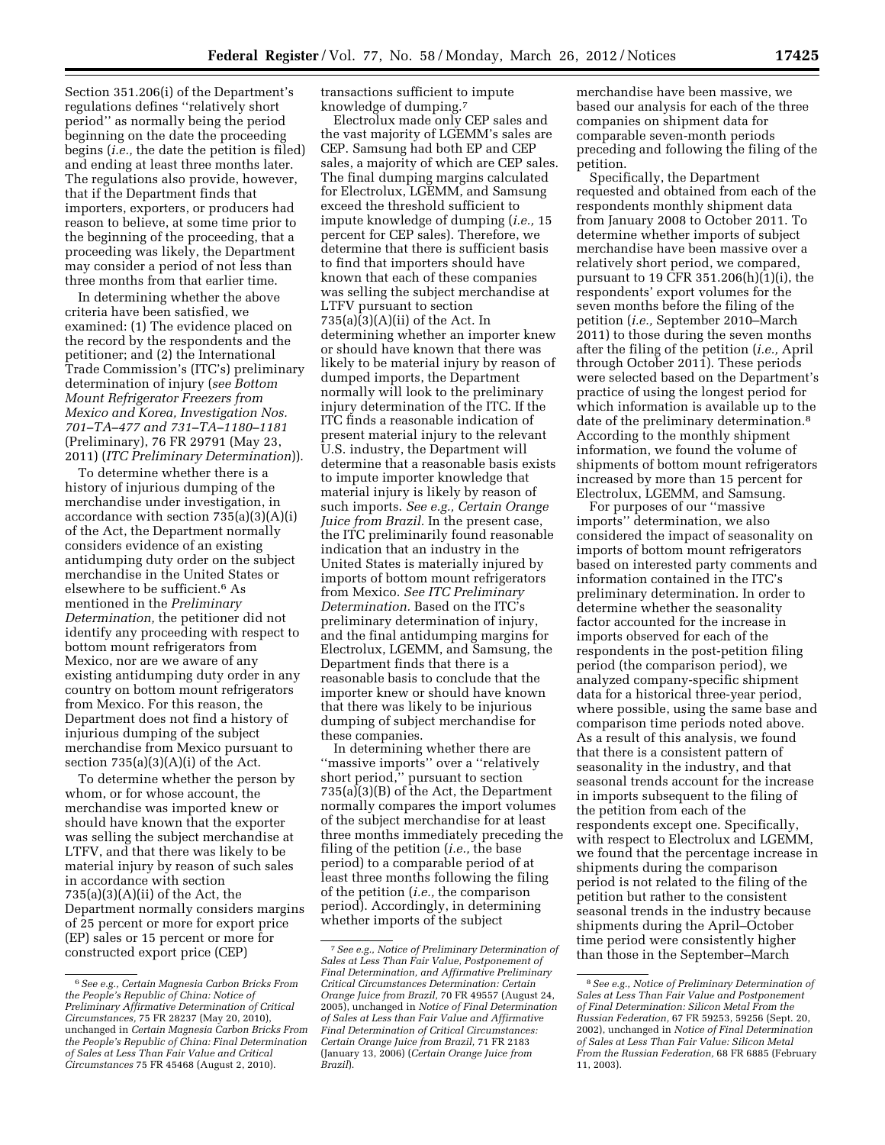Section 351.206(i) of the Department's regulations defines ''relatively short period'' as normally being the period beginning on the date the proceeding begins (*i.e.,* the date the petition is filed) and ending at least three months later. The regulations also provide, however, that if the Department finds that importers, exporters, or producers had reason to believe, at some time prior to the beginning of the proceeding, that a proceeding was likely, the Department may consider a period of not less than

three months from that earlier time. In determining whether the above criteria have been satisfied, we examined: (1) The evidence placed on the record by the respondents and the petitioner; and (2) the International Trade Commission's (ITC's) preliminary determination of injury (*see Bottom Mount Refrigerator Freezers from Mexico and Korea, Investigation Nos. 701–TA–477 and 731–TA–1180–1181*  (Preliminary), 76 FR 29791 (May 23, 2011) (*ITC Preliminary Determination*)).

To determine whether there is a history of injurious dumping of the merchandise under investigation, in accordance with section 735(a)(3)(A)(i) of the Act, the Department normally considers evidence of an existing antidumping duty order on the subject merchandise in the United States or elsewhere to be sufficient.6 As mentioned in the *Preliminary Determination,* the petitioner did not identify any proceeding with respect to bottom mount refrigerators from Mexico, nor are we aware of any existing antidumping duty order in any country on bottom mount refrigerators from Mexico. For this reason, the Department does not find a history of injurious dumping of the subject merchandise from Mexico pursuant to section  $735(a)(3)(A)(i)$  of the Act.

To determine whether the person by whom, or for whose account, the merchandise was imported knew or should have known that the exporter was selling the subject merchandise at LTFV, and that there was likely to be material injury by reason of such sales in accordance with section  $735(a)(3)(A)(ii)$  of the Act, the Department normally considers margins of 25 percent or more for export price (EP) sales or 15 percent or more for constructed export price (CEP)

transactions sufficient to impute knowledge of dumping.7

Electrolux made only CEP sales and the vast majority of LGEMM's sales are CEP. Samsung had both EP and CEP sales, a majority of which are CEP sales. The final dumping margins calculated for Electrolux, LGEMM, and Samsung exceed the threshold sufficient to impute knowledge of dumping (*i.e.,* 15 percent for CEP sales). Therefore, we determine that there is sufficient basis to find that importers should have known that each of these companies was selling the subject merchandise at LTFV pursuant to section  $735(a)(3)(A)(ii)$  of the Act. In determining whether an importer knew or should have known that there was likely to be material injury by reason of dumped imports, the Department normally will look to the preliminary injury determination of the ITC. If the ITC finds a reasonable indication of present material injury to the relevant U.S. industry, the Department will determine that a reasonable basis exists to impute importer knowledge that material injury is likely by reason of such imports. *See e.g., Certain Orange Juice from Brazil.* In the present case, the ITC preliminarily found reasonable indication that an industry in the United States is materially injured by imports of bottom mount refrigerators from Mexico. *See ITC Preliminary Determination.* Based on the ITC's preliminary determination of injury, and the final antidumping margins for Electrolux, LGEMM, and Samsung, the Department finds that there is a reasonable basis to conclude that the importer knew or should have known that there was likely to be injurious dumping of subject merchandise for these companies.

In determining whether there are ''massive imports'' over a ''relatively short period,'' pursuant to section 735(a)(3)(B) of the Act, the Department normally compares the import volumes of the subject merchandise for at least three months immediately preceding the filing of the petition (*i.e.,* the base period) to a comparable period of at least three months following the filing of the petition (*i.e.,* the comparison period). Accordingly, in determining whether imports of the subject

merchandise have been massive, we based our analysis for each of the three companies on shipment data for comparable seven-month periods preceding and following the filing of the petition.

Specifically, the Department requested and obtained from each of the respondents monthly shipment data from January 2008 to October 2011. To determine whether imports of subject merchandise have been massive over a relatively short period, we compared, pursuant to 19 CFR 351.206(h)(1)(i), the respondents' export volumes for the seven months before the filing of the petition (*i.e.,* September 2010–March 2011) to those during the seven months after the filing of the petition (*i.e.,* April through October 2011). These periods were selected based on the Department's practice of using the longest period for which information is available up to the date of the preliminary determination.8 According to the monthly shipment information, we found the volume of shipments of bottom mount refrigerators increased by more than 15 percent for Electrolux, LGEMM, and Samsung.

For purposes of our ''massive imports'' determination, we also considered the impact of seasonality on imports of bottom mount refrigerators based on interested party comments and information contained in the ITC's preliminary determination. In order to determine whether the seasonality factor accounted for the increase in imports observed for each of the respondents in the post-petition filing period (the comparison period), we analyzed company-specific shipment data for a historical three-year period, where possible, using the same base and comparison time periods noted above. As a result of this analysis, we found that there is a consistent pattern of seasonality in the industry, and that seasonal trends account for the increase in imports subsequent to the filing of the petition from each of the respondents except one. Specifically, with respect to Electrolux and LGEMM, we found that the percentage increase in shipments during the comparison period is not related to the filing of the petition but rather to the consistent seasonal trends in the industry because shipments during the April–October time period were consistently higher than those in the September–March

<sup>6</sup>*See e.g., Certain Magnesia Carbon Bricks From the People's Republic of China: Notice of Preliminary Affirmative Determination of Critical Circumstances,* 75 FR 28237 (May 20, 2010), unchanged in *Certain Magnesia Carbon Bricks From the People's Republic of China: Final Determination of Sales at Less Than Fair Value and Critical Circumstances* 75 FR 45468 (August 2, 2010).

<sup>7</sup>*See e.g., Notice of Preliminary Determination of Sales at Less Than Fair Value, Postponement of Final Determination, and Affirmative Preliminary Critical Circumstances Determination: Certain Orange Juice from Brazil,* 70 FR 49557 (August 24, 2005), unchanged in *Notice of Final Determination of Sales at Less than Fair Value and Affirmative Final Determination of Critical Circumstances: Certain Orange Juice from Brazil,* 71 FR 2183 (January 13, 2006) (*Certain Orange Juice from Brazil*).

<sup>8</sup>*See e.g., Notice of Preliminary Determination of Sales at Less Than Fair Value and Postponement of Final Determination: Silicon Metal From the Russian Federation,* 67 FR 59253, 59256 (Sept. 20, 2002), unchanged in *Notice of Final Determination of Sales at Less Than Fair Value: Silicon Metal From the Russian Federation,* 68 FR 6885 (February 11, 2003).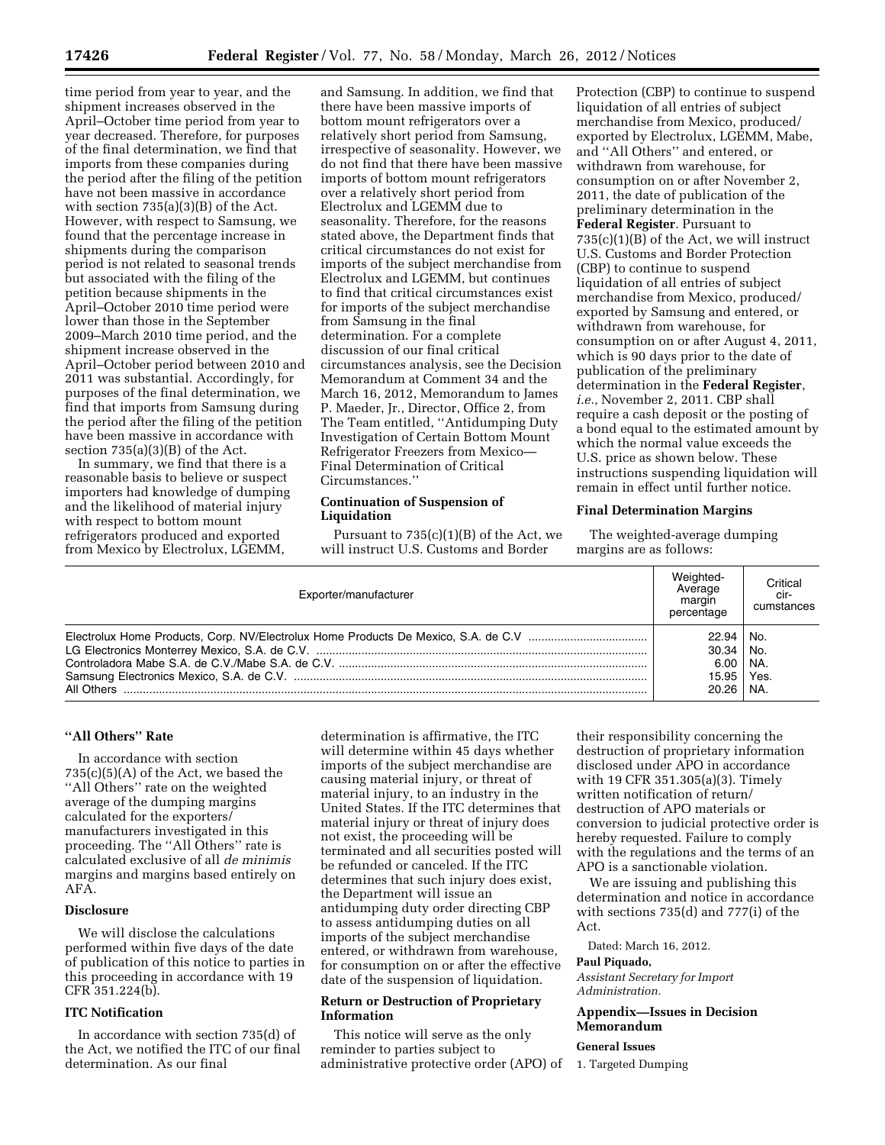time period from year to year, and the shipment increases observed in the April–October time period from year to year decreased. Therefore, for purposes of the final determination, we find that imports from these companies during the period after the filing of the petition have not been massive in accordance with section 735(a)(3)(B) of the Act. However, with respect to Samsung, we found that the percentage increase in shipments during the comparison period is not related to seasonal trends but associated with the filing of the petition because shipments in the April–October 2010 time period were lower than those in the September 2009–March 2010 time period, and the shipment increase observed in the April–October period between 2010 and 2011 was substantial. Accordingly, for purposes of the final determination, we find that imports from Samsung during the period after the filing of the petition have been massive in accordance with section 735(a)(3)(B) of the Act.

In summary, we find that there is a reasonable basis to believe or suspect importers had knowledge of dumping and the likelihood of material injury with respect to bottom mount refrigerators produced and exported from Mexico by Electrolux, LGEMM,

and Samsung. In addition, we find that there have been massive imports of bottom mount refrigerators over a relatively short period from Samsung, irrespective of seasonality. However, we do not find that there have been massive imports of bottom mount refrigerators over a relatively short period from Electrolux and LGEMM due to seasonality. Therefore, for the reasons stated above, the Department finds that critical circumstances do not exist for imports of the subject merchandise from Electrolux and LGEMM, but continues to find that critical circumstances exist for imports of the subject merchandise from Samsung in the final determination. For a complete discussion of our final critical circumstances analysis, see the Decision Memorandum at Comment 34 and the March 16, 2012, Memorandum to James P. Maeder, Jr., Director, Office 2, from The Team entitled, ''Antidumping Duty Investigation of Certain Bottom Mount Refrigerator Freezers from Mexico— Final Determination of Critical Circumstances.''

### **Continuation of Suspension of Liquidation**

Pursuant to 735(c)(1)(B) of the Act, we will instruct U.S. Customs and Border

Protection (CBP) to continue to suspend liquidation of all entries of subject merchandise from Mexico, produced/ exported by Electrolux, LGEMM, Mabe, and ''All Others'' and entered, or withdrawn from warehouse, for consumption on or after November 2, 2011, the date of publication of the preliminary determination in the **Federal Register**. Pursuant to 735(c)(1)(B) of the Act, we will instruct U.S. Customs and Border Protection (CBP) to continue to suspend liquidation of all entries of subject merchandise from Mexico, produced/ exported by Samsung and entered, or withdrawn from warehouse, for consumption on or after August 4, 2011, which is 90 days prior to the date of publication of the preliminary determination in the **Federal Register**, *i.e.,* November 2, 2011. CBP shall require a cash deposit or the posting of a bond equal to the estimated amount by which the normal value exceeds the U.S. price as shown below. These instructions suspending liquidation will remain in effect until further notice.

### **Final Determination Margins**

The weighted-average dumping margins are as follows:

| Exporter/manufacturer | Weighted-<br>Average<br>margin<br>percentage | Critical<br>cir-<br>cumstances |
|-----------------------|----------------------------------------------|--------------------------------|
|                       | 22.94   No.                                  |                                |
|                       | $30.34$   No.                                |                                |
|                       | $6.00$   NA.                                 |                                |
|                       | 15.95 Yes.                                   |                                |
|                       | 20.26   NA.                                  |                                |

### **''All Others'' Rate**

In accordance with section  $735(c)(5)(A)$  of the Act, we based the ''All Others'' rate on the weighted average of the dumping margins calculated for the exporters/ manufacturers investigated in this proceeding. The ''All Others'' rate is calculated exclusive of all *de minimis*  margins and margins based entirely on AFA.

#### **Disclosure**

We will disclose the calculations performed within five days of the date of publication of this notice to parties in this proceeding in accordance with 19 CFR 351.224(b).

## **ITC Notification**

In accordance with section 735(d) of the Act, we notified the ITC of our final determination. As our final

determination is affirmative, the ITC will determine within 45 days whether imports of the subject merchandise are causing material injury, or threat of material injury, to an industry in the United States. If the ITC determines that material injury or threat of injury does not exist, the proceeding will be terminated and all securities posted will be refunded or canceled. If the ITC determines that such injury does exist, the Department will issue an antidumping duty order directing CBP to assess antidumping duties on all imports of the subject merchandise entered, or withdrawn from warehouse, for consumption on or after the effective date of the suspension of liquidation.

### **Return or Destruction of Proprietary Information**

This notice will serve as the only reminder to parties subject to administrative protective order (APO) of

their responsibility concerning the destruction of proprietary information disclosed under APO in accordance with 19 CFR 351.305(a)(3). Timely written notification of return/ destruction of APO materials or conversion to judicial protective order is hereby requested. Failure to comply with the regulations and the terms of an APO is a sanctionable violation.

We are issuing and publishing this determination and notice in accordance with sections 735(d) and 777(i) of the Act.

Dated: March 16, 2012.

## **Paul Piquado,**

*Assistant Secretary for Import Administration.* 

## **Appendix—Issues in Decision Memorandum**

## **General Issues**

1. Targeted Dumping